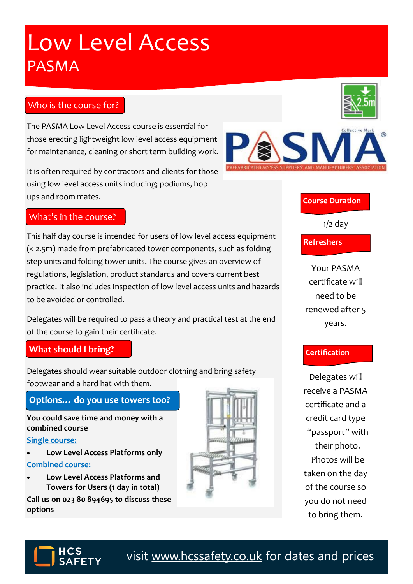# visit [www.hcssafety.co.uk](http://www.hcssafety.co.uk/training) for dates and prices

# Low Level Access PASMA

# Who is the course for?

The PASMA Low Level Access course is essential for those erecting lightweight low level access equipment for maintenance, cleaning or short term building work.

It is often required by contractors and clients for those using low level access units including; podiums, hop ups and room mates.

#### What's in the course?

This half day course is intended for users of low level access equipment (< 2.5m) made from prefabricated tower components, such as folding step units and folding tower units. The course gives an overview of regulations, legislation, product standards and covers current best practice. It also includes Inspection of low level access units and hazards to be avoided or controlled.

Delegates will be required to pass a theory and practical test at the end of the course to gain their certificate.

## **What should I bring?**

Delegates should wear suitable outdoor clothing and bring safety footwear and a hard hat with them.

## **Options… do you use towers too?**

**You could save time and money with a combined course** 

#### **Single course:**

• **Low Level Access Platforms only**

#### **Combined course:**

• **Low Level Access Platforms and Towers for Users (1 day in total)**

**Call us on 023 80 894695 to discuss these options**





#### **Course Duration**

 $1/2$  day

**Refreshers**

Your PASMA certificate will need to be renewed after 5 years.

#### **Certification**

Delegates will receive a PASMA certificate and a credit card type "passport" with their photo. Photos will be taken on the day of the course so you do not need to bring them.